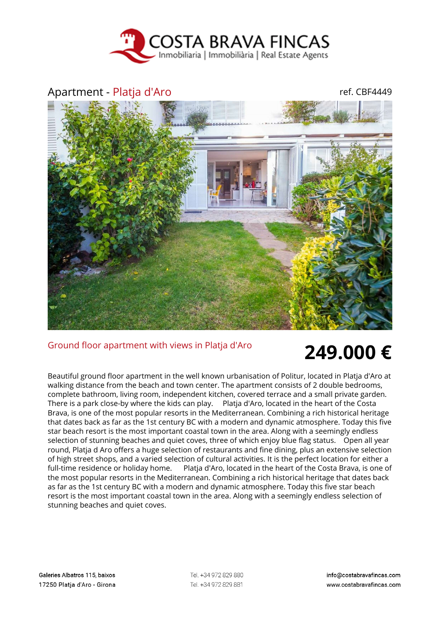

## Apartment - Platja d'Aro ref. CBF4449



## Ground floor apartment with views in Platja d'Aro **249.000 €**

Beautiful ground floor apartment in the well known urbanisation of Politur, located in Platja d'Aro at walking distance from the beach and town center. The apartment consists of 2 double bedrooms, complete bathroom, living room, independent kitchen, covered terrace and a small private garden. There is a park close-by where the kids can play. Platja d'Aro, located in the heart of the Costa Brava, is one of the most popular resorts in the Mediterranean. Combining a rich historical heritage that dates back as far as the 1st century BC with a modern and dynamic atmosphere. Today this five star beach resort is the most important coastal town in the area. Along with a seemingly endless selection of stunning beaches and quiet coves, three of which enjoy blue flag status. Open all year round, Platja d Aro offers a huge selection of restaurants and fine dining, plus an extensive selection of high street shops, and a varied selection of cultural activities. It is the perfect location for either a full-time residence or holiday home. Platja d'Aro, located in the heart of the Costa Brava, is one of the most popular resorts in the Mediterranean. Combining a rich historical heritage that dates back as far as the 1st century BC with a modern and dynamic atmosphere. Today this five star beach resort is the most important coastal town in the area. Along with a seemingly endless selection of stunning beaches and quiet coves.